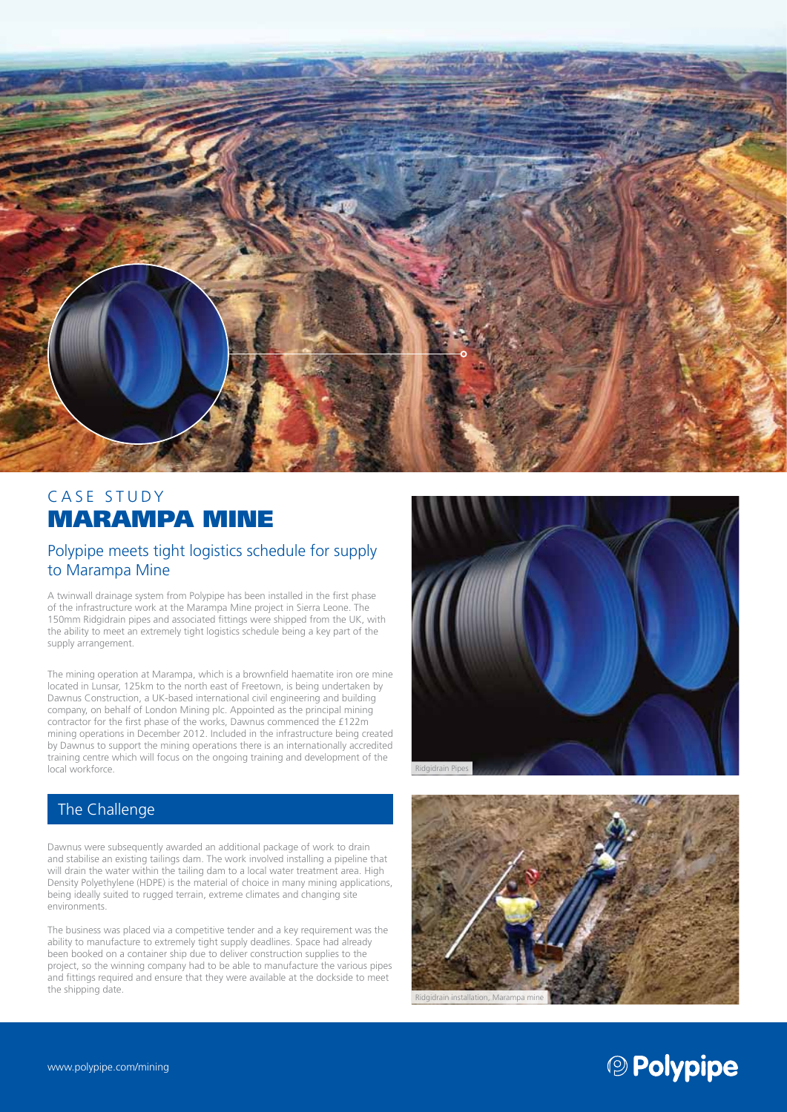

# CASE STUDY MARAMPA MINE

#### Polypipe meets tight logistics schedule for supply to Marampa Mine

A twinwall drainage system from Polypipe has been installed in the first phase of the infrastructure work at the Marampa Mine project in Sierra Leone. The 150mm Ridgidrain pipes and associated fittings were shipped from the UK, with the ability to meet an extremely tight logistics schedule being a key part of the supply arrangement.

The mining operation at Marampa, which is a brownfield haematite iron ore mine located in Lunsar, 125km to the north east of Freetown, is being undertaken by Dawnus Construction, a UK-based international civil engineering and building company, on behalf of London Mining plc. Appointed as the principal mining contractor for the first phase of the works, Dawnus commenced the £122m mining operations in December 2012. Included in the infrastructure being created by Dawnus to support the mining operations there is an internationally accredited training centre which will focus on the ongoing training and development of the local workforce.

# The Challenge

Dawnus were subsequently awarded an additional package of work to drain and stabilise an existing tailings dam. The work involved installing a pipeline that will drain the water within the tailing dam to a local water treatment area. High Density Polyethylene (HDPE) is the material of choice in many mining applications, being ideally suited to rugged terrain, extreme climates and changing site environments.

The business was placed via a competitive tender and a key requirement was the ability to manufacture to extremely tight supply deadlines. Space had already been booked on a container ship due to deliver construction supplies to the project, so the winning company had to be able to manufacture the various pipes and fittings required and ensure that they were available at the dockside to meet the shipping date.